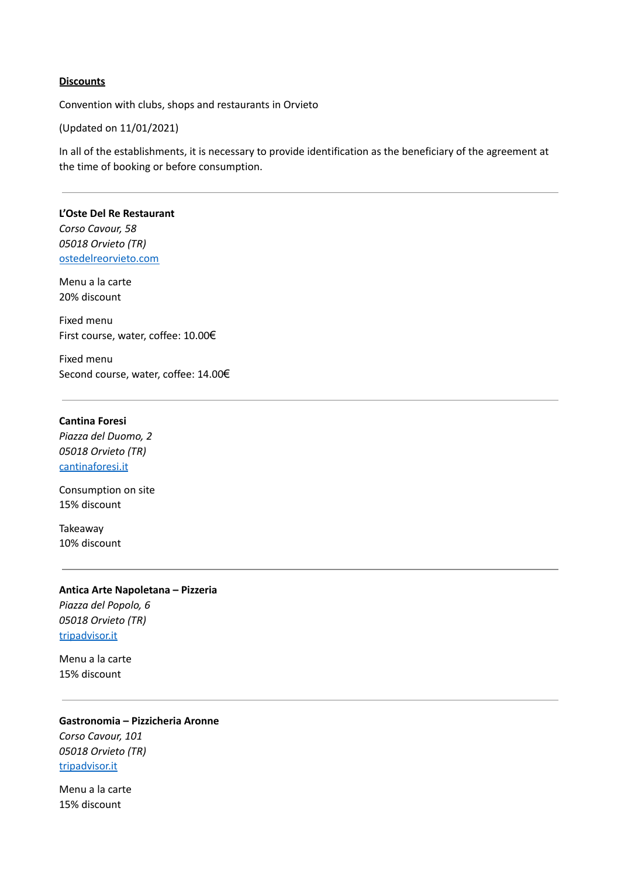### **Discounts**

Convention with clubs, shops and restaurants in Orvieto

(Updated on 11/01/2021)

In all of the establishments, it is necessary to provide identification as the beneficiary of the agreement at the time of booking or before consumption.

**L'Oste Del Re Restaurant** *Corso Cavour, 58 05018 Orvieto (TR)* [ostedelreorvieto.com](https://www.ostedelreorvieto.com/)

Menu a la carte 20% discount

Fixed menu First course, water, coffee: 10.00€

Fixed menu Second course, water, coffee: 14.00€

#### **Cantina Foresi**

*Piazza del Duomo, 2 05018 Orvieto (TR)* [cantinaforesi.it](http://www.cantinaforesi.it/)

Consumption on site 15% discount

Takeaway 10% discount

**Antica Arte Napoletana – Pizzeria** *Piazza del Popolo, 6 05018 Orvieto (TR)* [tripadvisor.it](https://www.tripadvisor.it/Restaurant_Review-g194843-d11180423-Reviews-Antica_Arte_Napoletana-Orvieto_Province_of_Terni_Umbria.html)

Menu a la carte 15% discount

**Gastronomia – Pizzicheria Aronne** *Corso Cavour, 101 05018 Orvieto (TR)* [tripadvisor.it](https://www.tripadvisor.it/Restaurant_Review-g194843-d11961674-Reviews-Gastronomia_Aronne-Orvieto_Province_of_Terni_Umbria.html)

Menu a la carte 15% discount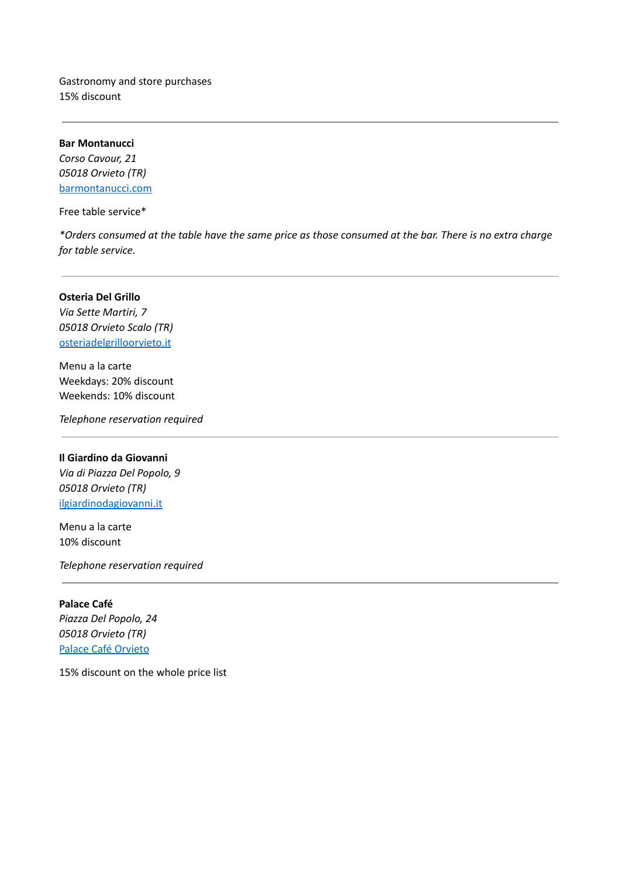Gastronomy and store purchases 15% discount

**Bar Montanucci** *Corso Cavour, 21 05018 Orvieto (TR)* [barmontanucci.com](http://www.barmontanucci.com/)

Free table service\*

\*Orders consumed at the table have the same price as those consumed at the bar. There is no extra charge *for table service.*

### **Osteria Del Grillo**

*Via Sette Martiri, 7 05018 Orvieto Scalo (TR)* [osteriadelgrilloorvieto.it](http://www.osteriadelgrilloorvieto.it/it/it/)

Menu a la carte Weekdays: 20% discount Weekends: 10% discount

*Telephone reservation required*

### **Il Giardino da Giovanni**

*Via di Piazza Del Popolo, 9 05018 Orvieto (TR)* [ilgiardinodagiovanni.it](https://www.ilgiardinodagiovanni.it/)

Menu a la carte 10% discount

*Telephone reservation required*

**Palace Café** *Piazza Del Popolo, 24 05018 Orvieto (TR)* Palace Café [Orvieto](https://www.facebook.com/palacecafeorvieto/)

15% discount on the whole price list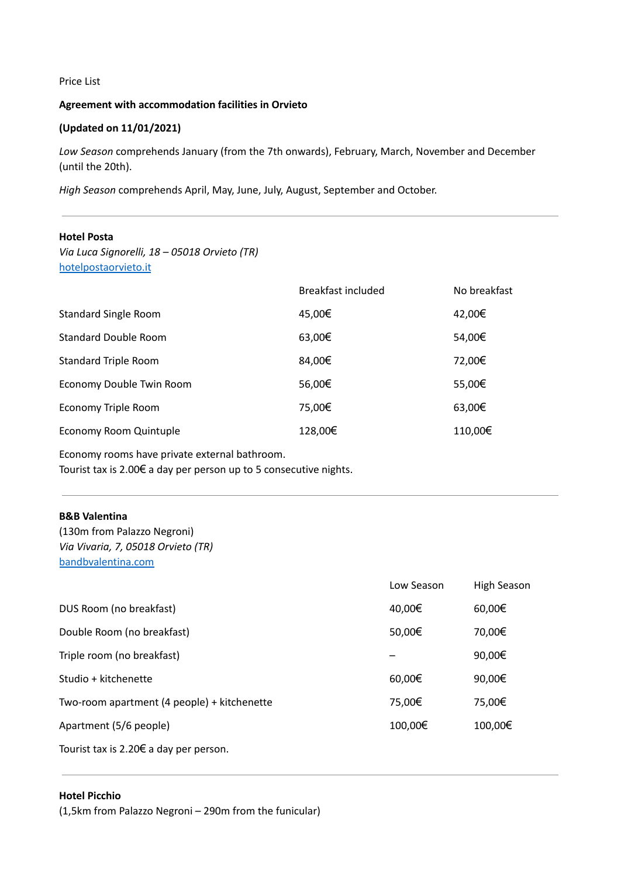### Price List

# **Agreement with accommodation facilities in Orvieto**

# **(Updated on 11/01/2021)**

*Low Season* comprehends January (from the 7th onwards), February, March, November and December (until the 20th).

*High Season* comprehends April, May, June, July, August, September and October.

# **Hotel Posta**

*Via Luca Signorelli, 18 – 05018 Orvieto (TR)* [hotelpostaorvieto.it](https://www.hotelpostaorvieto.it/)

| Breakfast included | No breakfast |
|--------------------|--------------|
| 45,00€             | 42,00€       |
| 63,00€             | 54,00€       |
| 84,00€             | 72,00€       |
| 56,00€             | 55,00€       |
| 75,00€             | 63,00€       |
| 128,00€            | 110,00€      |
|                    |              |

Economy rooms have private external bathroom. Tourist tax is 2.00€ a day per person up to 5 consecutive nights.

#### **B&B Valentina**

(130m from Palazzo Negroni) *Via Vivaria, 7, 05018 Orvieto (TR)* [bandbvalentina.com](https://www.bandbvalentina.com/)

|                                                  | Low Season | High Season |
|--------------------------------------------------|------------|-------------|
| DUS Room (no breakfast)                          | 40,00€     | 60,00€      |
| Double Room (no breakfast)                       | 50,00€     | 70,00€      |
| Triple room (no breakfast)                       |            | 90,00€      |
| Studio + kitchenette                             | 60,00€     | 90,00€      |
| Two-room apartment (4 people) + kitchenette      | 75,00€     | 75,00€      |
| Apartment (5/6 people)                           | 100,00€    | 100,00€     |
| Tourist tax is $2.20 \text{F}$ a day per person. |            |             |

Tourist tax is 2.20€ a day per person.

### **Hotel Picchio**

(1,5km from Palazzo Negroni – 290m from the funicular)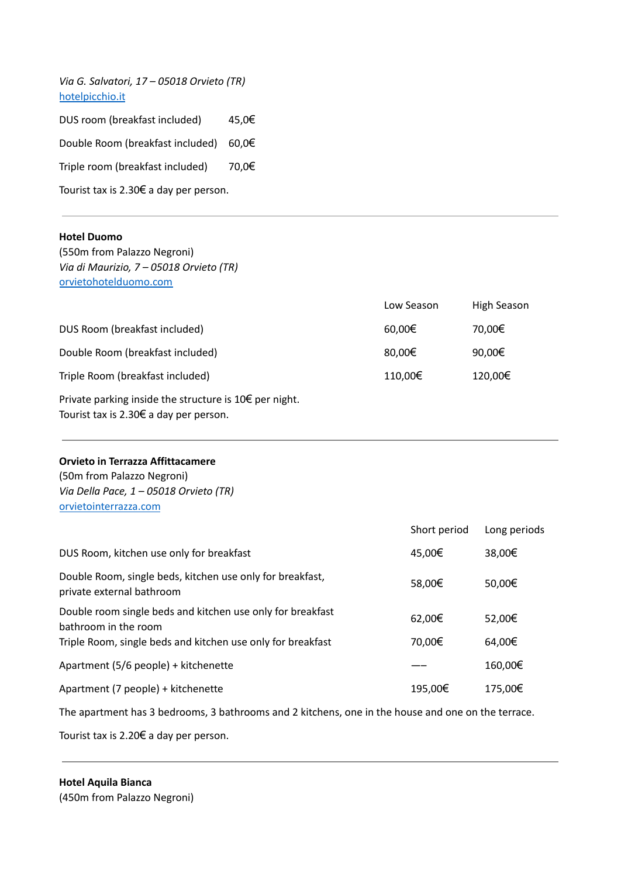*Via G. Salvatori, 17 – 05018 Orvieto (TR)* [hotelpicchio.it](http://www.hotelpicchio.it/) DUS room (breakfast included) 45,0€ Double Room (breakfast included) 60,0€ Triple room (breakfast included) 70,0€ Tourist tax is 2.30€ a day per person.

#### **Hotel Duomo**

(550m from Palazzo Negroni) *Via di Maurizio, 7 – 05018 Orvieto (TR)* [orvietohotelduomo.com](https://www.orvietohotelduomo.com/)

|                                                                     | Low Season | High Season |
|---------------------------------------------------------------------|------------|-------------|
| DUS Room (breakfast included)                                       | 60,00€     | 70,00€      |
| Double Room (breakfast included)                                    | 80,00€     | 90,00€      |
| Triple Room (breakfast included)                                    | 110,00€    | 120,00€     |
| Private parking inside the structure is $10 \in \text{per night}$ . |            |             |

Tourist tax is 2.30€ a day per person.

### **Orvieto in Terrazza Affittacamere**

(50m from Palazzo Negroni) *Via Della Pace, 1 – 05018 Orvieto (TR)* [orvietointerrazza.com](http://www.orvietointerrazza.com/)

|                                                                                        | Short period | Long periods |
|----------------------------------------------------------------------------------------|--------------|--------------|
| DUS Room, kitchen use only for breakfast                                               | 45,00€       | 38,00€       |
| Double Room, single beds, kitchen use only for breakfast,<br>private external bathroom | 58,00€       | 50,00€       |
| Double room single beds and kitchen use only for breakfast<br>bathroom in the room     | 62,00€       | 52,00€       |
| Triple Room, single beds and kitchen use only for breakfast                            | 70,00€       | 64,00€       |
| Apartment (5/6 people) + kitchenette                                                   |              | 160,00€      |
| Apartment (7 people) + kitchenette                                                     | 195,00€      | 175,00€      |

The apartment has 3 bedrooms, 3 bathrooms and 2 kitchens, one in the house and one on the terrace.

Tourist tax is 2.20€ a day per person.

**Hotel Aquila Bianca** (450m from Palazzo Negroni)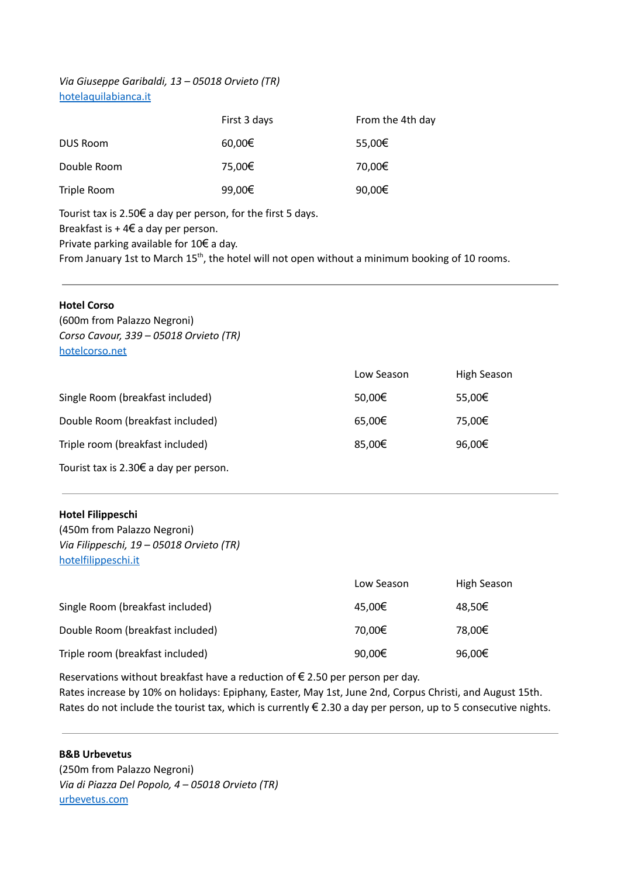# *Via Giuseppe Garibaldi, 13 – 05018 Orvieto (TR)* [hotelaquilabianca.it](https://www.hotelaquilabianca.it/)

|             | First 3 days | From the 4th day |
|-------------|--------------|------------------|
| DUS Room    | 60,00€       | 55,00€           |
| Double Room | 75,00€       | 70,00€           |
| Triple Room | 99,00€       | 90,00€           |

Tourist tax is 2.50€ a day per person, for the first 5 days.

Breakfast is  $+46$  a day per person.

Private parking available for 10€ a day.

From January 1st to March 15<sup>th</sup>, the hotel will not open without a minimum booking of 10 rooms.

| <b>Hotel Corso</b><br>(600m from Palazzo Negroni)<br>Corso Cavour, 339 – 05018 Orvieto (TR)<br>hotelcorso.net |            |             |
|---------------------------------------------------------------------------------------------------------------|------------|-------------|
|                                                                                                               | Low Season | High Season |
| Single Room (breakfast included)                                                                              | 50,00€     | 55,00€      |
| Double Room (breakfast included)                                                                              | 65,00€     | 75,00€      |
| Triple room (breakfast included)                                                                              | 85,00€     | 96,00€      |
| Tourist tax is 2.30 $\epsilon$ a day per person.                                                              |            |             |

# **Hotel Filippeschi**

(450m from Palazzo Negroni) *Via Filippeschi, 19 – 05018 Orvieto (TR)* [hotelfilippeschi.it](http://www.hotelfilippeschi.it/)

|                                  | Low Season | High Season |
|----------------------------------|------------|-------------|
| Single Room (breakfast included) | 45,00€     | 48,50€      |
| Double Room (breakfast included) | 70,00€     | 78,00€      |
| Triple room (breakfast included) | 90,00€     | 96,00€      |

Reservations without breakfast have a reduction of  $\epsilon$  2.50 per person per day. Rates increase by 10% on holidays: Epiphany, Easter, May 1st, June 2nd, Corpus Christi, and August 15th. Rates do not include the tourist tax, which is currently  $\epsilon$  2.30 a day per person, up to 5 consecutive nights.

# **B&B Urbevetus**

(250m from Palazzo Negroni) *Via di Piazza Del Popolo, 4 – 05018 Orvieto (TR)* [urbevetus.com](http://www.urbevetus.com/)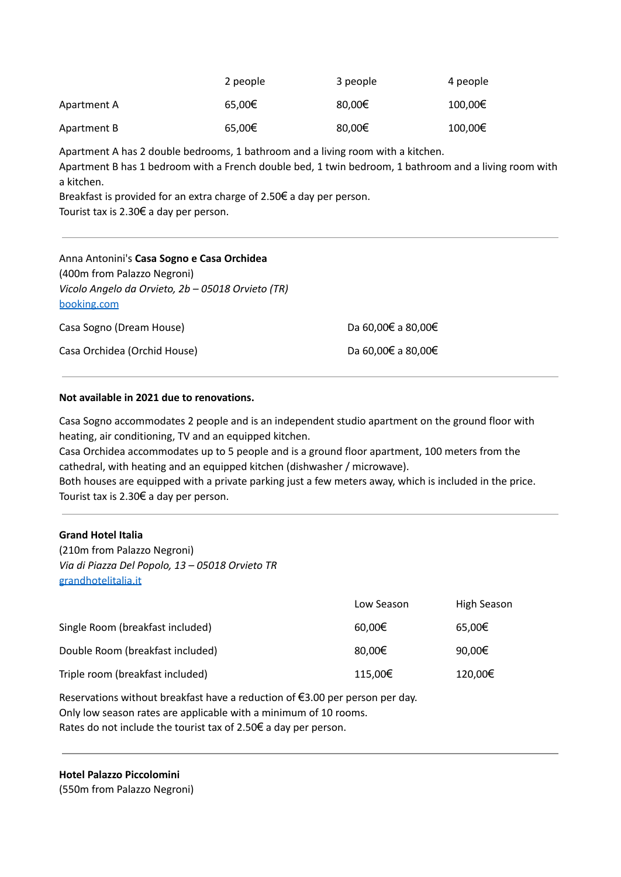|             | 2 people | 3 people | 4 people |
|-------------|----------|----------|----------|
| Apartment A | 65,00€   | 80,00€   | 100,00€  |
| Apartment B | 65,00€   | 80,00€   | 100,00€  |

Apartment A has 2 double bedrooms, 1 bathroom and a living room with a kitchen.

Apartment B has 1 bedroom with a French double bed, 1 twin bedroom, 1 bathroom and a living room with a kitchen.

Breakfast is provided for an extra charge of 2.50€ a day per person. Tourist tax is 2.30€ a day per person.

| Anna Antonini's Casa Sogno e Casa Orchidea<br>(400m from Palazzo Negroni)<br>Vicolo Angelo da Orvieto, 2b - 05018 Orvieto (TR)<br>booking.com |                    |
|-----------------------------------------------------------------------------------------------------------------------------------------------|--------------------|
| Casa Sogno (Dream House)                                                                                                                      | Da 60,00€ a 80,00€ |
| Casa Orchidea (Orchid House)                                                                                                                  | Da 60,00€ a 80,00€ |

# **Not available in 2021 due to renovations.**

Casa Sogno accommodates 2 people and is an independent studio apartment on the ground floor with heating, air conditioning, TV and an equipped kitchen.

Casa Orchidea accommodates up to 5 people and is a ground floor apartment, 100 meters from the cathedral, with heating and an equipped kitchen (dishwasher / microwave).

Both houses are equipped with a private parking just a few meters away, which is included in the price. Tourist tax is 2.30€ a day per person.

# **Grand Hotel Italia**

(210m from Palazzo Negroni) *Via di Piazza Del Popolo, 13 – 05018 Orvieto TR* [grandhotelitalia.it](https://www.grandhotelitalia.it/)

|                                  | Low Season | High Season |
|----------------------------------|------------|-------------|
| Single Room (breakfast included) | 60,00€     | 65,00€      |
| Double Room (breakfast included) | 80,00€     | 90,00€      |
| Triple room (breakfast included) | 115,00€    | 120,00€     |

Reservations without breakfast have a reduction of €3.00 per person per day. Only low season rates are applicable with a minimum of 10 rooms.

Rates do not include the tourist tax of 2.50€ a day per person.

**Hotel Palazzo Piccolomini** (550m from Palazzo Negroni)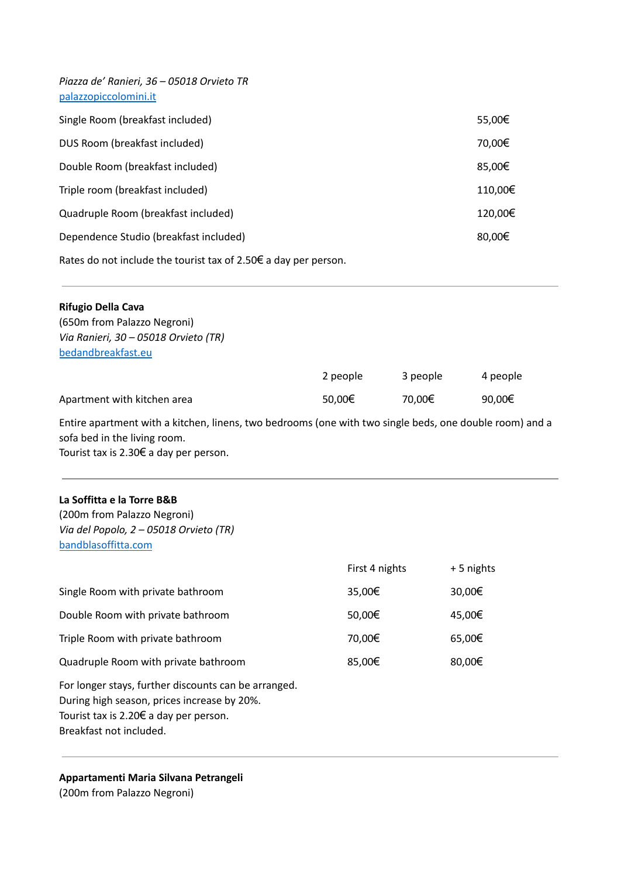| Piazza de' Ranieri, 36 - 05018 Orvieto TR<br>palazzopiccolomini.it        |         |
|---------------------------------------------------------------------------|---------|
| Single Room (breakfast included)                                          | 55,00€  |
| DUS Room (breakfast included)                                             | 70,00€  |
| Double Room (breakfast included)                                          | 85,00€  |
| Triple room (breakfast included)                                          | 110,00€ |
| Quadruple Room (breakfast included)                                       | 120,00€ |
| Dependence Studio (breakfast included)                                    | 80,00€  |
| Rates do not include the tourist tax of 2.50 $\epsilon$ a day per person. |         |

| <b>Rifugio Della Cava</b>                                                                               |          |          |          |
|---------------------------------------------------------------------------------------------------------|----------|----------|----------|
| (650m from Palazzo Negroni)                                                                             |          |          |          |
| Via Ranieri, 30 - 05018 Orvieto (TR)                                                                    |          |          |          |
| bedandbreakfast.eu                                                                                      |          |          |          |
|                                                                                                         | 2 people | 3 people | 4 people |
| Apartment with kitchen area                                                                             | 50,00€   | 70,00€   | 90,00€   |
| Entire apartment with a kitchen, linens, two bedrooms (one with two single beds, one double room) and a |          |          |          |

sofa bed in the living room. Tourist tax is 2.30€ a day per person.

# **La Soffitta e la Torre B&B**

(200m from Palazzo Negroni) *Via del Popolo, 2 – 05018 Orvieto (TR)* [bandblasoffitta.com](http://www.bandblasoffitta.com/)

|                                                                                                                                                                                                                                                                                                                                                                                                 | First 4 nights | +5 nights |
|-------------------------------------------------------------------------------------------------------------------------------------------------------------------------------------------------------------------------------------------------------------------------------------------------------------------------------------------------------------------------------------------------|----------------|-----------|
| Single Room with private bathroom                                                                                                                                                                                                                                                                                                                                                               | 35,00€         | 30,00€    |
| Double Room with private bathroom                                                                                                                                                                                                                                                                                                                                                               | 50,00€         | 45,00€    |
| Triple Room with private bathroom                                                                                                                                                                                                                                                                                                                                                               | 70,00€         | 65,00€    |
| Quadruple Room with private bathroom                                                                                                                                                                                                                                                                                                                                                            | 85,00€         | 80,00€    |
| For longer stays, further discounts can be arranged.<br>During high season, prices increase by 20%.<br>Tourist tax is 2.20 $\epsilon$ a day per person.<br><b>Desires and the second second second second second second second second second second second second second second second second second second second second second second second second second second second second second se</b> |                |           |

Breakfast not included.

**Appartamenti Maria Silvana Petrangeli** (200m from Palazzo Negroni)